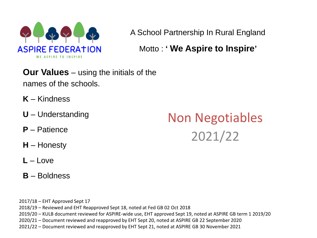

A School Partnership In Rural England

Motto : **' We Aspire to Inspire'** 

**Our Values** – using the initials of the names of the schools.

- **K** Kindness
- **U** Understanding
- **P** Patience
- **H** Honesty
- **L** Love
- **B** Boldness

Non Negotiables 2021/22

2017/18 – EHT Approved Sept 17 2018/19 – Reviewed and EHT Reapproved Sept 18, noted at Fed GB 02 Oct 2018 2019/20 – KULB document reviewed for ASPIRE-wide use, EHT approved Sept 19, noted at ASPIRE GB term 1 2019/20 2020/21 – Document reviewed and reapproved by EHT Sept 20, noted at ASPIRE GB 22 September 2020 2021/22 – Document reviewed and reapproved by EHT Sept 21, noted at ASPIRE GB 30 November 2021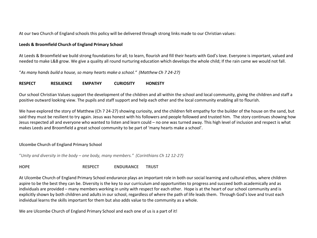At our two Church of England schools this policy will be delivered through strong links made to our Christian values:

### **Leeds & Broomfield Church of England Primary School**

At Leeds & Broomfield we build strong foundations for all; to learn, flourish and fill their hearts with God's love. Everyone is important, valued and needed to make L&B grow. We give a quality all round nurturing education which develops the whole child; If the rain came we would not fall.

"*As many hands build a house, so many hearts make a school." (Matthew Ch 7 24-27)*

### **RESPECT RESILIENCE EMPATHY CURIOSITY HONESTY**

Our school Christian Values support the development of the children and all within the school and local community, giving the children and staff a positive outward looking view. The pupils and staff support and help each other and the local community enabling all to flourish.

We have explored the story of Matthew (Ch 7 24-27) showing curiosity, and the children felt empathy for the builder of the house on the sand, but said they must be resilient to try again. Jesus was honest with his followers and people followed and trusted him. The story continues showing how Jesus respected all and everyone who wanted to listen and learn could – no one was turned away. This high level of inclusion and respect is what makes Leeds and Broomfield a great school community to be part of 'many hearts make a school'.

### **Ulcombe Church of England Primary School**

"*Unity and diversity in the body – one body, many members." (Corinthians Ch 12 12-27)*

**HOPE RESPECT ENDURANCE TRUST**

At Ulcombe Church of England Primary School endurance plays an important role in both our social learning and cultural ethos, where children aspire to be the best they can be. Diversity is the key to our curriculum and opportunities to progress and succeed both academically and as individuals are provided – many members working in unity with respect for each other. Hope is at the heart of our school community and is explicitly shown by both children and adults in our school, regardless of where the path of life leads them. Through God's love and trust each individual learns the skills important for them but also adds value to the community as a whole.

We are Ulcombe Church of England Primary School and each one of us is a part of it!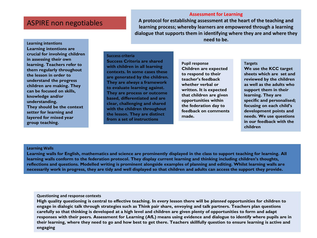### **Assessment for Learning**

**A protocol for establishing assessment at the heart of the teaching and learning process; whereby learners are empowered through a learning dialogue that supports them in identifying where they are and where they need to be.** 

**Learning intentions Learning intentions are crucial for involving children in assessing their own learning. Teachers refer to them regularly throughout the lesson in order to understand the progress children are making. They can be focused on skills, knowledge and/or understanding. They should be the context setter for learning and layered for mixed year group teaching.** 

#### **Success criteria**

**Success Criteria are shared with children in all learning contexts. In some cases these are generated by the children. They are** *always* **a framework to evaluate learning against. They are process or outcome based, differentiated and are clear, challenging and shared with the children throughout the lesson. They are distinct from a set of instructions** 

**Pupil response Children are expected to respond to their teacher's feedback whether verbal or written. It is expected that children are given opportunities within the federation day to feedback on comments made.** 

#### **Targets**

**We use the KCC target sheets which are set and reviewed by the children as well as the adults who support them in their learning. They are specific and personalised; focusing on each child's development points and needs. We use questions in our feedback with the children**

### **Learning Walls**

**Learning walls for English, mathematics and science are prominently displayed in the class to support teaching for learning. All learning walls conform to the federation protocol. They display current learning and thinking including children's thoughts, reflections and questions. Modelled writing is prominent alongside examples of planning and editing. Whilst learning walls are necessarily work in progress, they are tidy and well displayed so that children and adults can access the support they provide.** 

#### **Questioning and response contexts**

**High quality questioning is central to effective teaching. In every lesson there will be** *planned* **opportunities for children to engage in dialogic talk through strategies such as Think pair share, envoying and talk partners. Teachers plan questions carefully so that thinking is developed at a high level and children are given plenty of opportunities to form and adapt responses with their peers. Assessment for Learning (AfL) means using evidence and dialogue to identify where pupils are in their learning, where they need to go and how best to get there. Teachers skillfully question to ensure learning is active and engaging**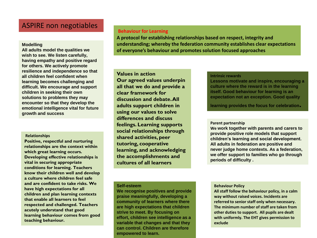### **Modelling**

**All adults model the qualities we wish to see. We listen carefully, having empathy and positive regard for others. We actively promote resilience and independence so that all children feel confident when learning becomes challenging and difficult. We encourage and support children in seeking their own solutions to problems they may encounter so that they develop the emotional intelligence vital for future growth and success** 

#### **Relationships**

**Positive, respectful and nurturing relationships are the context within which great learning occurs. Developing effective relationships is vital in securing appropriate conditions for learning. Teachers know their children well and develop a culture where children feel safe and are confident to take risks. We have high expectations for all children and plan learning contexts that enable all learners to feel respected and challenged. Teachers acutely understand that good learning behaviour comes from good teaching behaviour.** 

### **Behaviour for Learning**

**A protocol for establishing relationships based on respect, integrity and understanding; whereby the federation community establishes clear expectations of everyone's behaviour and promotes solution focused approaches** 

**Values in action Our agreed values underpin all that we do and provide a clear framework for discussion and debate. All adults support children in using our values to solve differences and discuss feelings. Learning supports social relationships through shared activities, peer tutoring, cooperative learning, and acknowledging the accomplishments and cultures of all learners** 

#### **Intrinsic rewards**

**Lessons motivate and inspire, encouraging a culture where the reward is in the learning itself. Good behaviour for learning is an expectation not an exception. Good quality** 

**learning provides the focus for celebration.** 

### **Parent partnership**

**We work together with parents and carers to provide positive role models that support children's learning and social development. All adults in federation are positive and never judge home contexts. As a federation, we offer support to families who go through periods of difficulty .**

#### **Self-esteem**

**We recognise positives and provide praise meaningfully, developing a community of learners where there are high expectations that children strive to meet. By focusing on effort, children see intelligence as a variable that changes and that they can control. Children are therefore empowered to learn.** 

#### **Behaviour Policy**

**All staff follow the behaviour policy, in a calm way without raised voices. Incidents are referred to senior staff only when necessary. The minimum number of staff are taken from other duties to support. All pupils are dealt with uniformly. The EHT gives permission to exclude**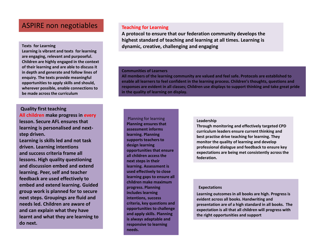**Learning is vibrant and texts for learning are engaging, relevant and purposeful. Children are highly engaged in the context of their learning and are able to discuss it in depth and generate and follow lines of enquiry. The texts provide meaningful opportunities to apply skills and should, wherever possible, enable connections to be made across the curriculum** 

## **Quality first teaching All children make progress in every lesson. Secure AFL ensures that learning is personalised and nextstep driven.**

**Learning is skills led and not task driven. Learning intentions and success criteria frame all lessons. High quality questioning and discussion embed and extend learning. Peer, self and teacher feedback are used effectively to embed and extend learning. Guided group work is planned for to secure next steps. Groupings are fluid and needs led. Children are aware of and can explain what they have learnt and what they are learning to do next.** 

### **Teaching for Learning**

**A protocol to ensure that our federation community develops the highest standard of teaching and learning at all times. Learning is Texts for Learning dynamic, creative, challenging and engaging** 

#### **Communities of Learners**

**All members of the learning community are valued and feel safe. Protocols are established to enable all learners to feel confident in the learning process. Children's thoughts, questions and responses are evident in all classes; Children use displays to support thinking and take great pride in the quality of learning on display.** 

### Planning for learning **Planning ensures that assessment informs learning. Planning supports teachers to design learning opportunities that ensure all children access the next steps in their learning. Assessment is used effectively to close learning gaps to ensure all children make maximum progress. Planning includes learning intentions, success criteria, key questions and opportunities to challenge and apply skills. Planning is always adaptable and responsive to learning needs.**

#### **Leadership**

**Through monitoring and effectively targeted CPD curriculum leaders ensure current thinking and best practise drive teaching for learning. They monitor the quality of learning and develop professional dialogue and feedback to ensure key expectations are being met consistently across the federation.** 

#### **Expectations**

**Learning outcomes in all books are high. Progress is evident across all books. Handwriting and presentation are of a high standard in all books. The expectation is all that all children will progress with the right opportunities and support**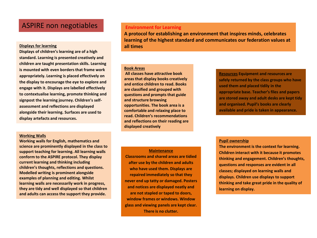#### **Displays for learning all times**

**Displays of children's learning are of a high standard. Learning is presented creatively and children are taught presentation skills. Learning is mounted with even borders that frame work appropriately. Learning is placed effectively on the display to encourage the eye to explore and engage with it. Displays are labelled effectively to contextualise learning, promote thinking and signpost the learning journey. Children's selfassessment and reflections are displayed alongside their learning. Surfaces are used to display artefacts and resources.**

#### **Working Walls**

**Working walls for English, mathematics and science are prominently displayed in the class to support teaching for learning. All learning walls conform to the ASPIRE protocol. They display current learning and thinking including children's thoughts, reflections and questions. Modelled writing is prominent alongside examples of planning and editing. Whilst learning walls are necessarily work in progress, they are tidy and well displayed so that children and adults can access the support they provide.**

### **Environment for Learning**

**A protocol for establishing an environment that inspires minds, celebrates learning of the highest standard and communicates our federation values at** 

#### **Book Areas**

**All classes have attractive book areas that display books creatively and entice children to read. Books are classified and grouped with questions and prompts that guide and structure browsing opportunities. The book area is a comfortable and relaxing place to read. Children's recommendations and reflections on their reading are displayed creatively**

**Maintenance** 

**Classrooms and shared areas are tidied after use by the children and adults who have used them. Displays are repaired immediately so that they never end up tatty or damaged. Posters and notices are displayed neatly and are not stapled or taped to doors, window frames or windows. Window glass and viewing panels are kept clear. There is no clutter.**

**Resources Equipment and resources are safely returned by the class groups who have used them and placed tidily in the appropriate base. Teacher's files and papers are stored away and adult desks are kept tidy and organised. Pupil's books are clearly available and pride is taken in appearance.**

#### **Pupil ownership**

**The environment is the context for learning. Children interact with it because it promotes thinking and engagement. Children's thoughts, questions and responses are evident in all classes; displayed on learning walls and displays. Children use displays to support thinking and take great pride in the quality of learning on display.**